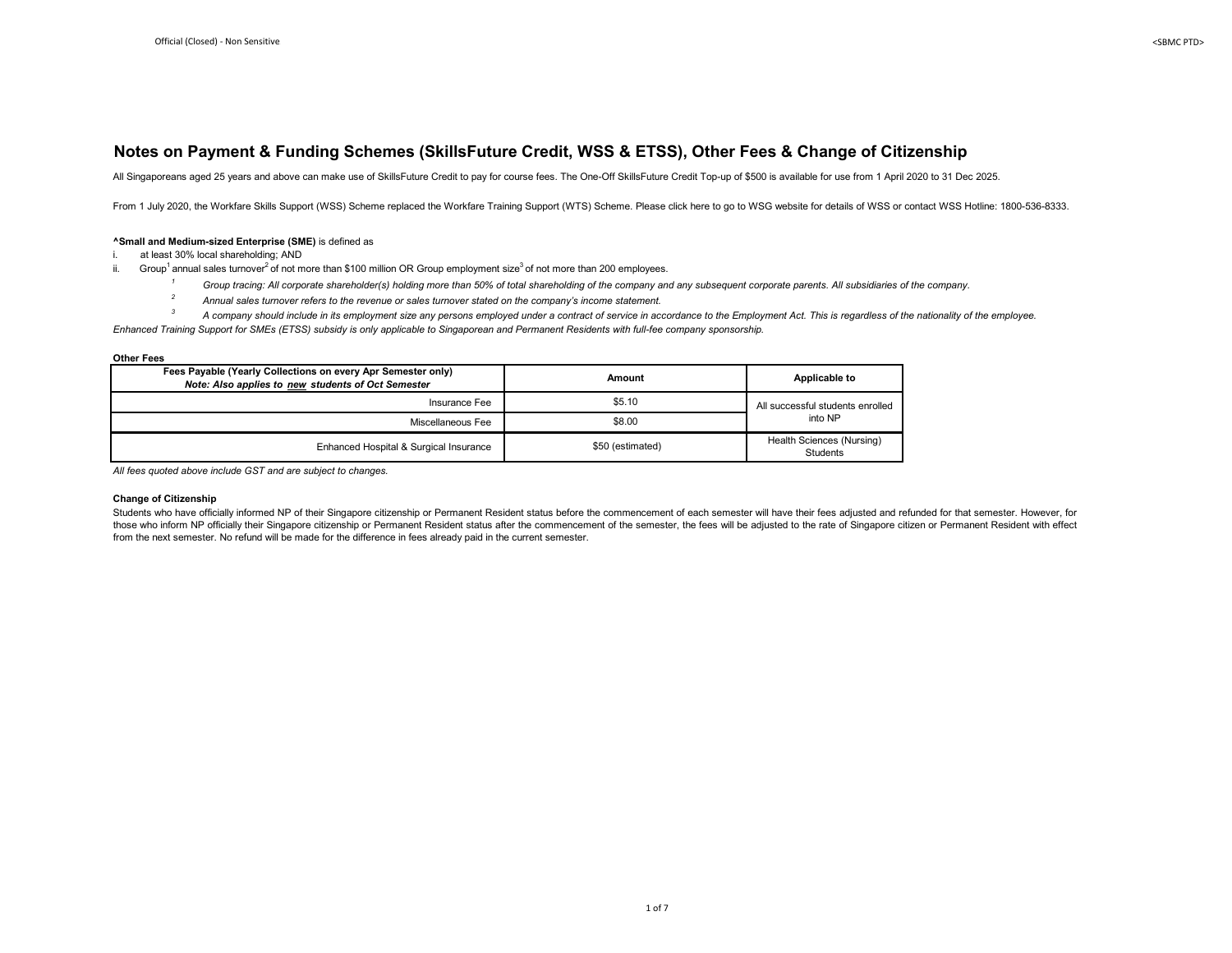#### **Notes on Payment & Funding Schemes (SkillsFuture Credit, WSS & ETSS), Other Fees & Change of Citizenship**

All Singaporeans aged 25 years and above can make use of SkillsFuture Credit to pay for course fees. The One-Off SkillsFuture Credit Top-up of \$500 is available for use from 1 April 2020 to 31 Dec 2025.

From 1 July 2020, the Workfare Skills Support (WSS) Scheme replaced the Workfare Training Support (WTS) Scheme. Please click here to go to WSG website for details of WSS or contact WSS Hotline: 1800-536-8333.

#### **^Small and Medium-sized Enterprise (SME)** is defined as

i. at least 30% local shareholding; AND

- ii. Group<sup>1</sup> annual sales turnover<sup>2</sup> of not more than \$100 million OR Group employment size<sup>3</sup> of not more than 200 employees.
	- <sup>1</sup> Group tracing: All corporate shareholder(s) holding more than 50% of total shareholding of the company and any subsequent corporate parents. All subsidiaries of the company.
	- <sup>2</sup> Annual sales turnover refers to the revenue or sales turnover stated on the company's income statement.
- *3 A company should include in its employment size any persons employed under a contract of service in accordance to the Employment Act. This is regardless of the nationality of the employee.*

*Enhanced Training Support for SMEs (ETSS) subsidy is only applicable to Singaporean and Permanent Residents with full-fee company sponsorship.*

**Other Fees**

| Fees Payable (Yearly Collections on every Apr Semester only)<br>Note: Also applies to new students of Oct Semester | Amount           | Applicable to                                |  |
|--------------------------------------------------------------------------------------------------------------------|------------------|----------------------------------------------|--|
| Insurance Fee                                                                                                      | \$5.10           | All successful students enrolled             |  |
| Miscellaneous Fee                                                                                                  | \$8.00           |                                              |  |
| Enhanced Hospital & Surgical Insurance                                                                             | \$50 (estimated) | Health Sciences (Nursing)<br><b>Students</b> |  |

*All fees quoted above include GST and are subject to changes.*

#### **Change of Citizenship**

Students who have officially informed NP of their Singapore citizenship or Permanent Resident status before the commencement of each semester will have their fees adjusted and refunded for that semester. However, for those who inform NP officially their Singapore citizenship or Permanent Resident status after the commencement of the semester, the fees will be adjusted to the rate of Singapore citizen or Permanent Resident with effect from the next semester. No refund will be made for the difference in fees already paid in the current semester.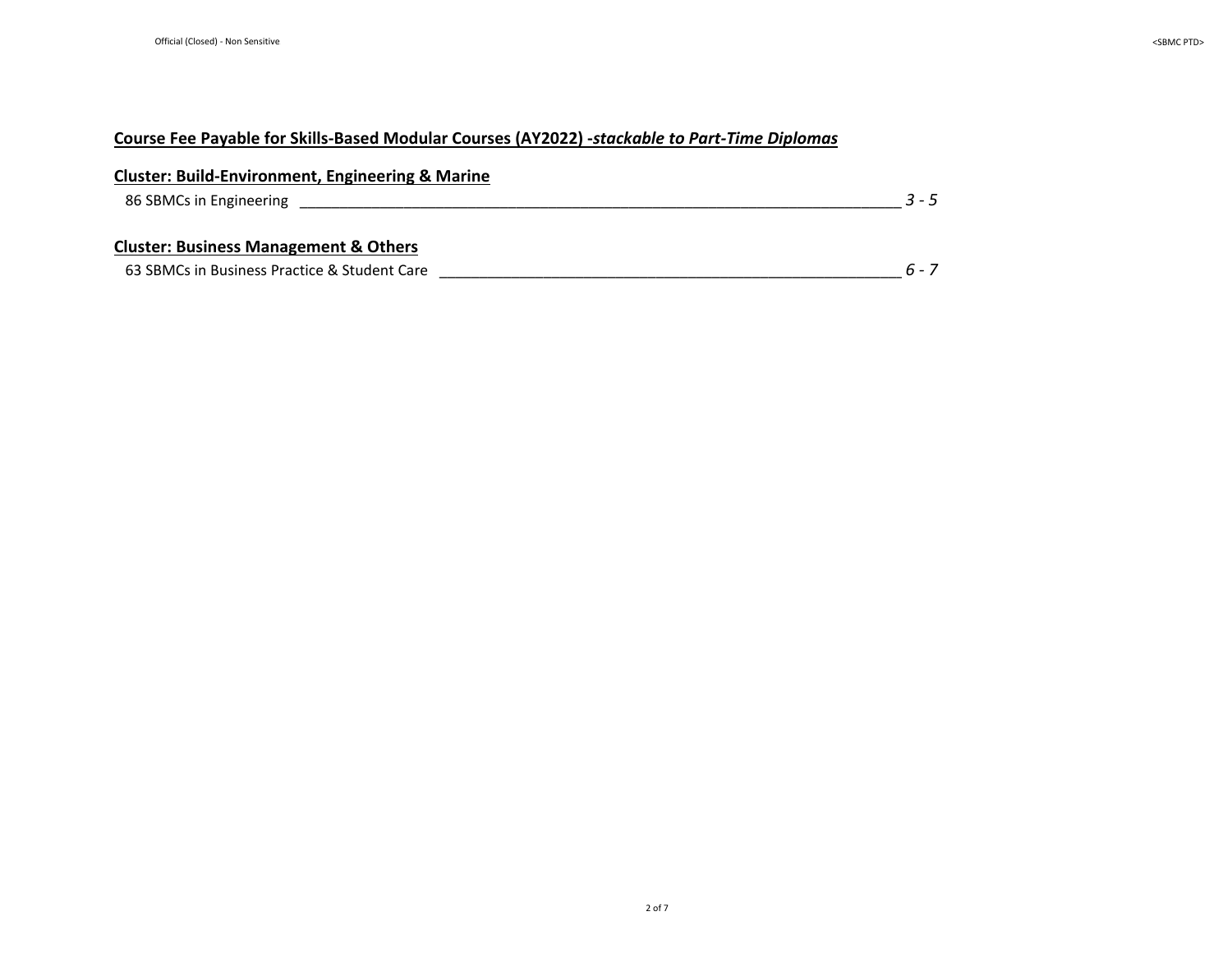| <b>Cluster: Build-Environment, Engineering &amp; Marine</b> |         |
|-------------------------------------------------------------|---------|
| 86 SBMCs in Engineering                                     | $3 - 5$ |
| <b>Cluster: Business Management &amp; Others</b>            |         |
| 63 SBMCs in Business Practice & Student Care                | 6 - 7   |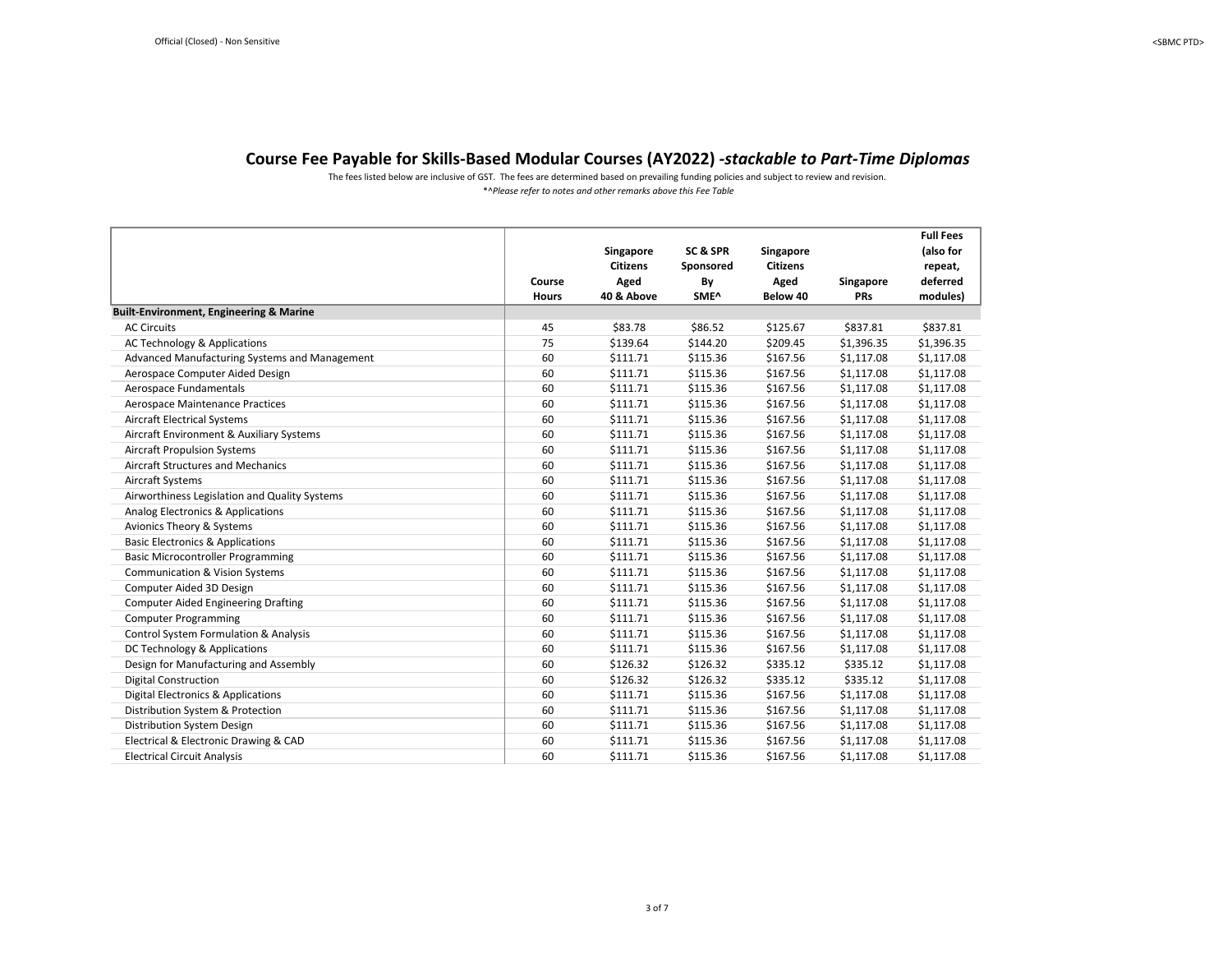\*^*Please refer to notes and other remarks above this Fee Table* The fees listed below are inclusive of GST. The fees are determined based on prevailing funding policies and subject to review and revision.

<span id="page-2-0"></span>

|                                                    | Course<br><b>Hours</b> | Singapore<br><b>Citizens</b><br>Aged<br>40 & Above | SC & SPR<br>Sponsored<br>By<br>SME^ | Singapore<br><b>Citizens</b><br>Aged<br>Below 40 | Singapore<br><b>PRs</b> | <b>Full Fees</b><br>(also for<br>repeat,<br>deferred<br>modules) |
|----------------------------------------------------|------------------------|----------------------------------------------------|-------------------------------------|--------------------------------------------------|-------------------------|------------------------------------------------------------------|
| <b>Built-Environment, Engineering &amp; Marine</b> |                        |                                                    |                                     |                                                  |                         |                                                                  |
| <b>AC Circuits</b>                                 | 45                     | \$83.78                                            | \$86.52                             | \$125.67                                         | \$837.81                | \$837.81                                                         |
| AC Technology & Applications                       | 75                     | \$139.64                                           | \$144.20                            | \$209.45                                         | \$1,396.35              | \$1,396.35                                                       |
| Advanced Manufacturing Systems and Management      | 60                     | \$111.71                                           | \$115.36                            | \$167.56                                         | \$1,117.08              | \$1,117.08                                                       |
| Aerospace Computer Aided Design                    | 60                     | \$111.71                                           | \$115.36                            | \$167.56                                         | \$1,117.08              | \$1,117.08                                                       |
| Aerospace Fundamentals                             | 60                     | \$111.71                                           | \$115.36                            | \$167.56                                         | \$1,117.08              | \$1,117.08                                                       |
| Aerospace Maintenance Practices                    | 60                     | \$111.71                                           | \$115.36                            | \$167.56                                         | \$1,117.08              | \$1,117.08                                                       |
| <b>Aircraft Electrical Systems</b>                 | 60                     | \$111.71                                           | \$115.36                            | \$167.56                                         | \$1,117.08              | \$1,117.08                                                       |
| Aircraft Environment & Auxiliary Systems           | 60                     | \$111.71                                           | \$115.36                            | \$167.56                                         | \$1,117.08              | \$1,117.08                                                       |
| <b>Aircraft Propulsion Systems</b>                 | 60                     | \$111.71                                           | \$115.36                            | \$167.56                                         | \$1,117.08              | \$1,117.08                                                       |
| <b>Aircraft Structures and Mechanics</b>           | 60                     | \$111.71                                           | \$115.36                            | \$167.56                                         | \$1,117.08              | \$1,117.08                                                       |
| Aircraft Systems                                   | 60                     | \$111.71                                           | \$115.36                            | \$167.56                                         | \$1,117.08              | \$1,117.08                                                       |
| Airworthiness Legislation and Quality Systems      | 60                     | \$111.71                                           | \$115.36                            | \$167.56                                         | \$1,117.08              | \$1,117.08                                                       |
| Analog Electronics & Applications                  | 60                     | \$111.71                                           | \$115.36                            | \$167.56                                         | \$1,117.08              | \$1,117.08                                                       |
| Avionics Theory & Systems                          | 60                     | \$111.71                                           | \$115.36                            | \$167.56                                         | \$1,117.08              | \$1,117.08                                                       |
| <b>Basic Electronics &amp; Applications</b>        | 60                     | \$111.71                                           | \$115.36                            | \$167.56                                         | \$1,117.08              | \$1,117.08                                                       |
| <b>Basic Microcontroller Programming</b>           | 60                     | \$111.71                                           | \$115.36                            | \$167.56                                         | \$1,117.08              | \$1,117.08                                                       |
| <b>Communication &amp; Vision Systems</b>          | 60                     | \$111.71                                           | \$115.36                            | \$167.56                                         | \$1,117.08              | \$1,117.08                                                       |
| Computer Aided 3D Design                           | 60                     | \$111.71                                           | \$115.36                            | \$167.56                                         | \$1,117.08              | \$1,117.08                                                       |
| <b>Computer Aided Engineering Drafting</b>         | 60                     | \$111.71                                           | \$115.36                            | \$167.56                                         | \$1,117.08              | \$1,117.08                                                       |
| <b>Computer Programming</b>                        | 60                     | \$111.71                                           | \$115.36                            | \$167.56                                         | \$1,117.08              | \$1,117.08                                                       |
| Control System Formulation & Analysis              | 60                     | \$111.71                                           | \$115.36                            | \$167.56                                         | \$1,117.08              | \$1,117.08                                                       |
| DC Technology & Applications                       | 60                     | \$111.71                                           | \$115.36                            | \$167.56                                         | \$1,117.08              | \$1,117.08                                                       |
| Design for Manufacturing and Assembly              | 60                     | \$126.32                                           | \$126.32                            | \$335.12                                         | \$335.12                | \$1,117.08                                                       |
| <b>Digital Construction</b>                        | 60                     | \$126.32                                           | \$126.32                            | \$335.12                                         | \$335.12                | \$1,117.08                                                       |
| <b>Digital Electronics &amp; Applications</b>      | 60                     | \$111.71                                           | \$115.36                            | \$167.56                                         | \$1,117.08              | \$1,117.08                                                       |
| Distribution System & Protection                   | 60                     | \$111.71                                           | \$115.36                            | \$167.56                                         | \$1,117.08              | \$1,117.08                                                       |
| Distribution System Design                         | 60                     | \$111.71                                           | \$115.36                            | \$167.56                                         | \$1,117.08              | \$1,117.08                                                       |
| Electrical & Electronic Drawing & CAD              | 60                     | \$111.71                                           | \$115.36                            | \$167.56                                         | \$1,117.08              | \$1,117.08                                                       |
| <b>Electrical Circuit Analysis</b>                 | 60                     | \$111.71                                           | \$115.36                            | \$167.56                                         | \$1.117.08              | \$1,117.08                                                       |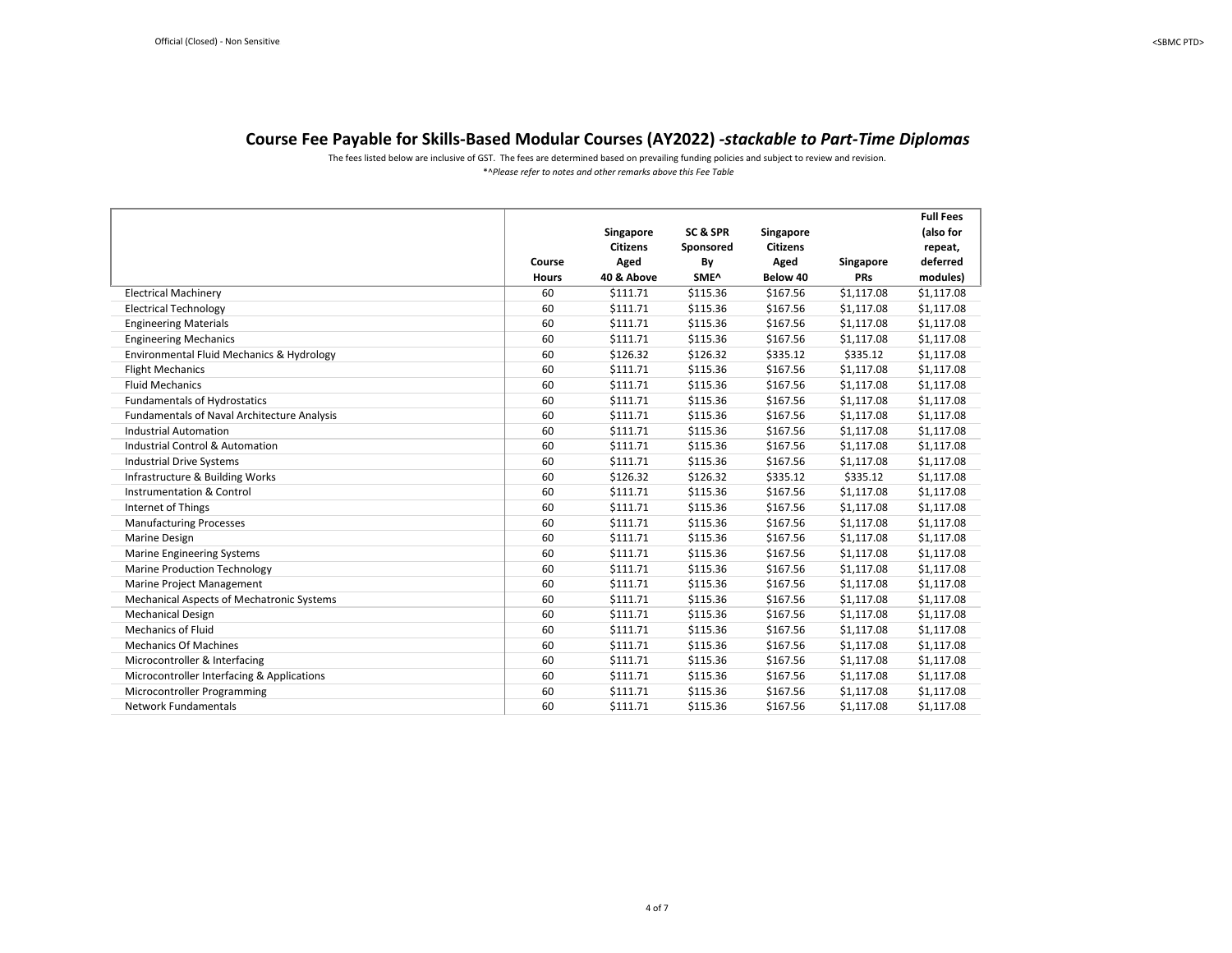The fees listed below are inclusive of GST. The fees are determined based on prevailing funding policies and subject to review and revision.

|                                             |              |                 |           |                 |            | <b>Full Fees</b> |
|---------------------------------------------|--------------|-----------------|-----------|-----------------|------------|------------------|
|                                             |              | Singapore       | SC & SPR  | Singapore       |            | (also for        |
|                                             |              | <b>Citizens</b> | Sponsored | <b>Citizens</b> |            | repeat,          |
|                                             | Course       | Aged            | By        | Aged            | Singapore  | deferred         |
|                                             | <b>Hours</b> | 40 & Above      | SME^      | Below 40        | PRs        | modules)         |
| <b>Electrical Machinery</b>                 | 60           | \$111.71        | \$115.36  | \$167.56        | \$1,117.08 | \$1,117.08       |
| <b>Electrical Technology</b>                | 60           | \$111.71        | \$115.36  | \$167.56        | \$1,117.08 | \$1,117.08       |
| <b>Engineering Materials</b>                | 60           | \$111.71        | \$115.36  | \$167.56        | \$1,117.08 | \$1,117.08       |
| <b>Engineering Mechanics</b>                | 60           | \$111.71        | \$115.36  | \$167.56        | \$1,117.08 | \$1,117.08       |
| Environmental Fluid Mechanics & Hydrology   | 60           | \$126.32        | \$126.32  | \$335.12        | \$335.12   | \$1,117.08       |
| <b>Flight Mechanics</b>                     | 60           | \$111.71        | \$115.36  | \$167.56        | \$1,117.08 | \$1,117.08       |
| <b>Fluid Mechanics</b>                      | 60           | \$111.71        | \$115.36  | \$167.56        | \$1,117.08 | \$1,117.08       |
| <b>Fundamentals of Hydrostatics</b>         | 60           | \$111.71        | \$115.36  | \$167.56        | \$1,117.08 | \$1,117.08       |
| Fundamentals of Naval Architecture Analysis | 60           | \$111.71        | \$115.36  | \$167.56        | \$1,117.08 | \$1,117.08       |
| <b>Industrial Automation</b>                | 60           | \$111.71        | \$115.36  | \$167.56        | \$1,117.08 | \$1,117.08       |
| <b>Industrial Control &amp; Automation</b>  | 60           | \$111.71        | \$115.36  | \$167.56        | \$1,117.08 | \$1,117.08       |
| <b>Industrial Drive Systems</b>             | 60           | \$111.71        | \$115.36  | \$167.56        | \$1,117.08 | \$1,117.08       |
| Infrastructure & Building Works             | 60           | \$126.32        | \$126.32  | \$335.12        | \$335.12   | \$1,117.08       |
| Instrumentation & Control                   | 60           | \$111.71        | \$115.36  | \$167.56        | \$1,117.08 | \$1,117.08       |
| Internet of Things                          | 60           | \$111.71        | \$115.36  | \$167.56        | \$1,117.08 | \$1,117.08       |
| <b>Manufacturing Processes</b>              | 60           | \$111.71        | \$115.36  | \$167.56        | \$1,117.08 | \$1,117.08       |
| Marine Design                               | 60           | \$111.71        | \$115.36  | \$167.56        | \$1,117.08 | \$1,117.08       |
| <b>Marine Engineering Systems</b>           | 60           | \$111.71        | \$115.36  | \$167.56        | \$1,117.08 | \$1,117.08       |
| <b>Marine Production Technology</b>         | 60           | \$111.71        | \$115.36  | \$167.56        | \$1,117.08 | \$1,117.08       |
| Marine Project Management                   | 60           | \$111.71        | \$115.36  | \$167.56        | \$1,117.08 | \$1,117.08       |
| Mechanical Aspects of Mechatronic Systems   | 60           | \$111.71        | \$115.36  | \$167.56        | \$1,117.08 | \$1,117.08       |
| <b>Mechanical Design</b>                    | 60           | \$111.71        | \$115.36  | \$167.56        | \$1,117.08 | \$1,117.08       |
| <b>Mechanics of Fluid</b>                   | 60           | \$111.71        | \$115.36  | \$167.56        | \$1,117.08 | \$1,117.08       |
| <b>Mechanics Of Machines</b>                | 60           | \$111.71        | \$115.36  | \$167.56        | \$1,117.08 | \$1,117.08       |
| Microcontroller & Interfacing               | 60           | \$111.71        | \$115.36  | \$167.56        | \$1,117.08 | \$1,117.08       |
| Microcontroller Interfacing & Applications  | 60           | \$111.71        | \$115.36  | \$167.56        | \$1,117.08 | \$1,117.08       |
| Microcontroller Programming                 | 60           | \$111.71        | \$115.36  | \$167.56        | \$1,117.08 | \$1,117.08       |
| <b>Network Fundamentals</b>                 | 60           | \$111.71        | \$115.36  | \$167.56        | \$1,117.08 | \$1,117.08       |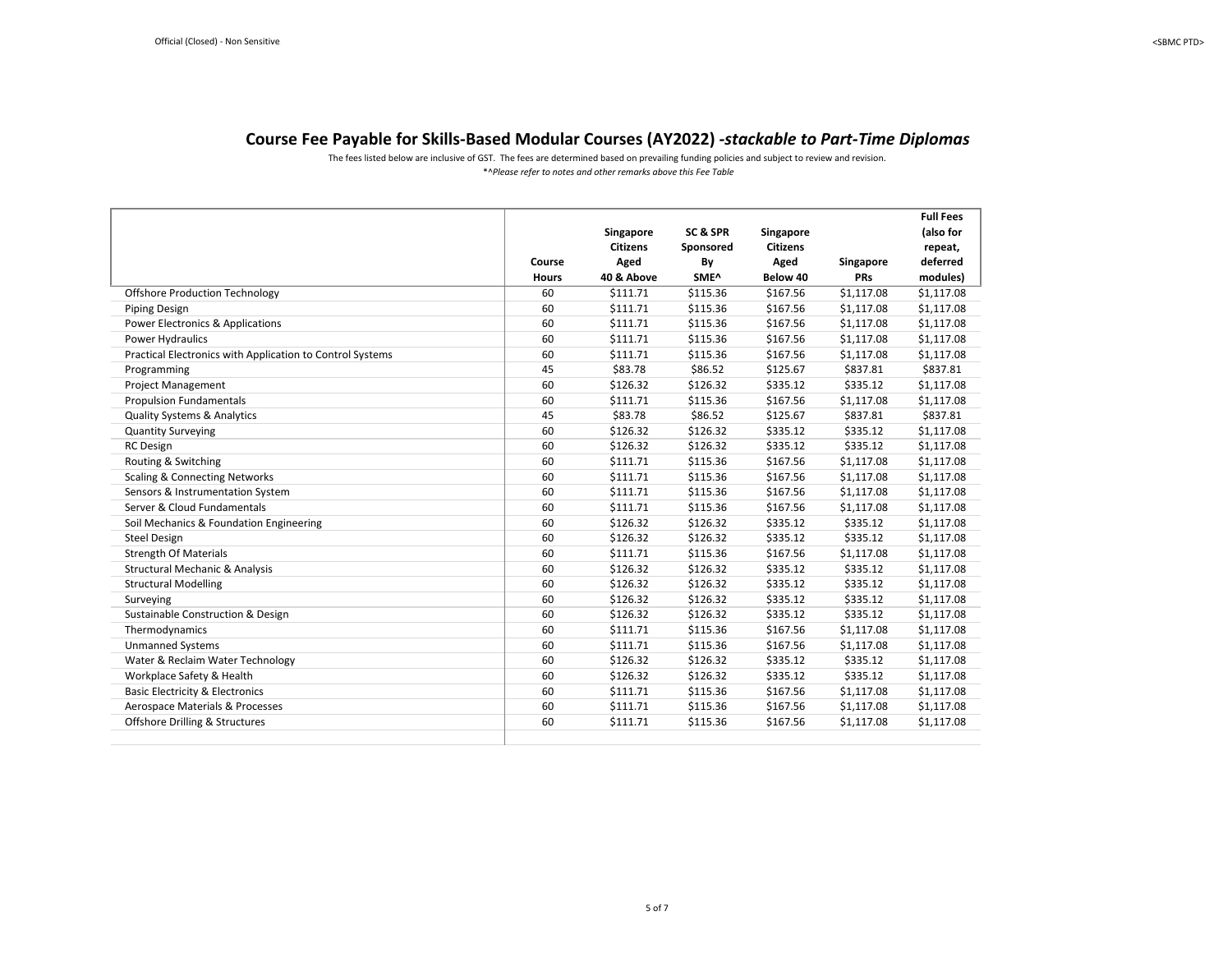The fees listed below are inclusive of GST. The fees are determined based on prevailing funding policies and subject to review and revision.

|                                                           |              |                 |           |                 |            | <b>Full Fees</b> |
|-----------------------------------------------------------|--------------|-----------------|-----------|-----------------|------------|------------------|
|                                                           |              | Singapore       | SC & SPR  | Singapore       |            | (also for        |
|                                                           |              | <b>Citizens</b> | Sponsored | <b>Citizens</b> |            | repeat,          |
|                                                           | Course       | Aged            | By        | Aged            | Singapore  | deferred         |
|                                                           | <b>Hours</b> | 40 & Above      | SME^      | Below 40        | <b>PRs</b> | modules)         |
| <b>Offshore Production Technology</b>                     | 60           | \$111.71        | \$115.36  | \$167.56        | \$1,117.08 | \$1,117.08       |
| <b>Piping Design</b>                                      | 60           | \$111.71        | \$115.36  | \$167.56        | \$1,117.08 | \$1,117.08       |
| <b>Power Electronics &amp; Applications</b>               | 60           | \$111.71        | \$115.36  | \$167.56        | \$1,117.08 | \$1,117.08       |
| Power Hydraulics                                          | 60           | \$111.71        | \$115.36  | \$167.56        | \$1,117.08 | \$1,117.08       |
| Practical Electronics with Application to Control Systems | 60           | \$111.71        | \$115.36  | \$167.56        | \$1,117.08 | \$1,117.08       |
| Programming                                               | 45           | \$83.78         | \$86.52   | \$125.67        | \$837.81   | \$837.81         |
| <b>Project Management</b>                                 | 60           | \$126.32        | \$126.32  | \$335.12        | \$335.12   | \$1,117.08       |
| <b>Propulsion Fundamentals</b>                            | 60           | \$111.71        | \$115.36  | \$167.56        | \$1,117.08 | \$1,117.08       |
| <b>Quality Systems &amp; Analytics</b>                    | 45           | \$83.78         | \$86.52   | \$125.67        | \$837.81   | \$837.81         |
| <b>Quantity Surveying</b>                                 | 60           | \$126.32        | \$126.32  | \$335.12        | \$335.12   | \$1,117.08       |
| <b>RC</b> Design                                          | 60           | \$126.32        | \$126.32  | \$335.12        | \$335.12   | \$1,117.08       |
| Routing & Switching                                       | 60           | \$111.71        | \$115.36  | \$167.56        | \$1,117.08 | \$1,117.08       |
| <b>Scaling &amp; Connecting Networks</b>                  | 60           | \$111.71        | \$115.36  | \$167.56        | \$1,117.08 | \$1,117.08       |
| Sensors & Instrumentation System                          | 60           | \$111.71        | \$115.36  | \$167.56        | \$1,117.08 | \$1,117.08       |
| Server & Cloud Fundamentals                               | 60           | \$111.71        | \$115.36  | \$167.56        | \$1,117.08 | \$1,117.08       |
| Soil Mechanics & Foundation Engineering                   | 60           | \$126.32        | \$126.32  | \$335.12        | \$335.12   | \$1,117.08       |
| <b>Steel Design</b>                                       | 60           | \$126.32        | \$126.32  | \$335.12        | \$335.12   | \$1,117.08       |
| <b>Strength Of Materials</b>                              | 60           | \$111.71        | \$115.36  | \$167.56        | \$1,117.08 | \$1,117.08       |
| <b>Structural Mechanic &amp; Analysis</b>                 | 60           | \$126.32        | \$126.32  | \$335.12        | \$335.12   | \$1,117.08       |
| <b>Structural Modelling</b>                               | 60           | \$126.32        | \$126.32  | \$335.12        | \$335.12   | \$1,117.08       |
| Surveying                                                 | 60           | \$126.32        | \$126.32  | \$335.12        | \$335.12   | \$1,117.08       |
| Sustainable Construction & Design                         | 60           | \$126.32        | \$126.32  | \$335.12        | \$335.12   | \$1,117.08       |
| Thermodynamics                                            | 60           | \$111.71        | \$115.36  | \$167.56        | \$1,117.08 | \$1,117.08       |
| <b>Unmanned Systems</b>                                   | 60           | \$111.71        | \$115.36  | \$167.56        | \$1,117.08 | \$1,117.08       |
| Water & Reclaim Water Technology                          | 60           | \$126.32        | \$126.32  | \$335.12        | \$335.12   | \$1,117.08       |
| Workplace Safety & Health                                 | 60           | \$126.32        | \$126.32  | \$335.12        | \$335.12   | \$1,117.08       |
| <b>Basic Electricity &amp; Electronics</b>                | 60           | \$111.71        | \$115.36  | \$167.56        | \$1,117.08 | \$1,117.08       |
| Aerospace Materials & Processes                           | 60           | \$111.71        | \$115.36  | \$167.56        | \$1,117.08 | \$1,117.08       |
| Offshore Drilling & Structures                            | 60           | \$111.71        | \$115.36  | \$167.56        | \$1,117.08 | \$1,117.08       |
|                                                           |              |                 |           |                 |            |                  |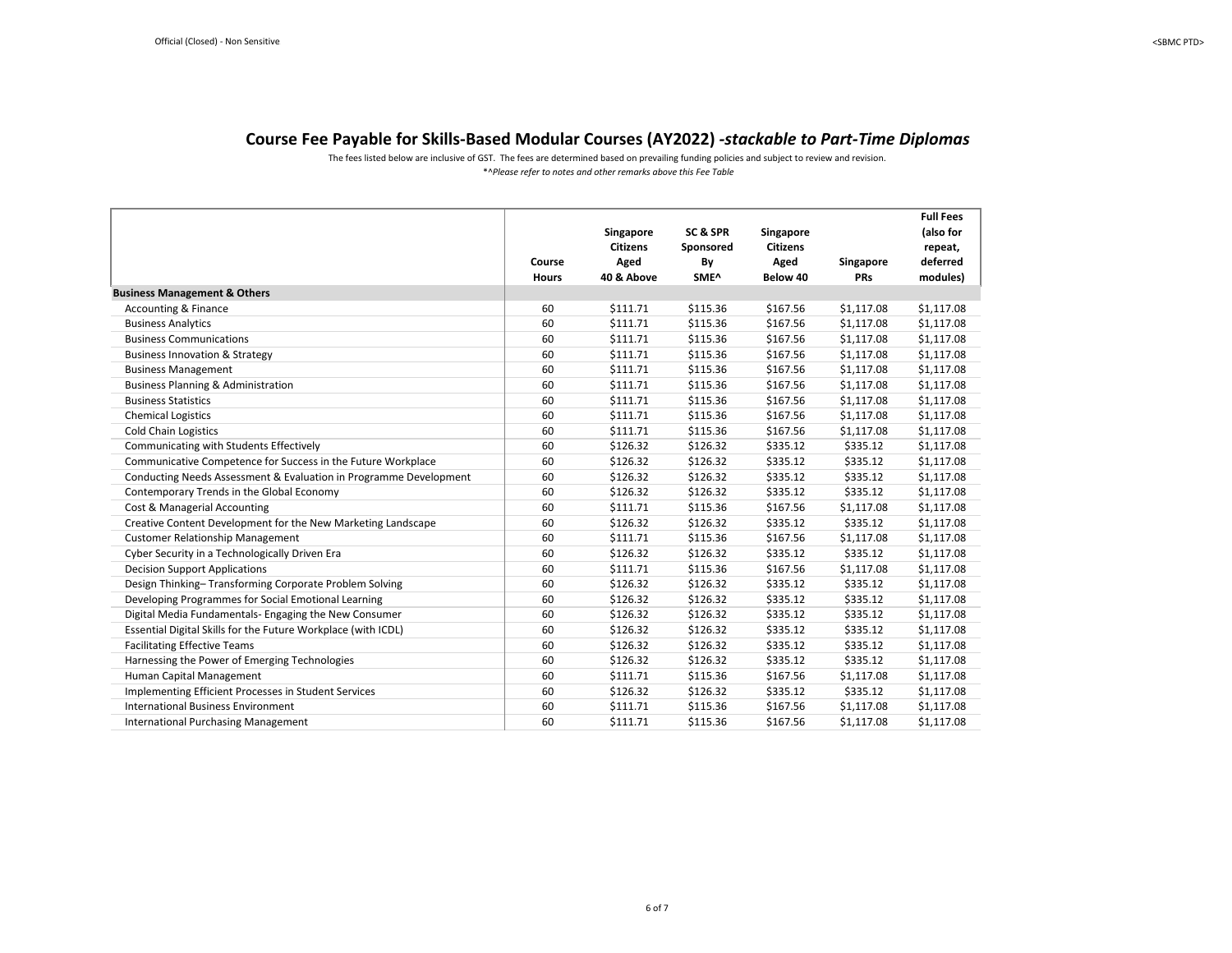The fees listed below are inclusive of GST. The fees are determined based on prevailing funding policies and subject to review and revision.

<span id="page-5-0"></span>

|                                                                   | Course<br><b>Hours</b> | Singapore<br><b>Citizens</b><br>Aged<br>40 & Above | SC & SPR<br>Sponsored<br>By<br>SME^ | Singapore<br><b>Citizens</b><br>Aged<br>Below 40 | Singapore<br><b>PRs</b> | <b>Full Fees</b><br>(also for<br>repeat,<br>deferred<br>modules) |
|-------------------------------------------------------------------|------------------------|----------------------------------------------------|-------------------------------------|--------------------------------------------------|-------------------------|------------------------------------------------------------------|
| <b>Business Management &amp; Others</b>                           |                        |                                                    |                                     |                                                  |                         |                                                                  |
| <b>Accounting &amp; Finance</b>                                   | 60                     | \$111.71                                           | \$115.36                            | \$167.56                                         | \$1,117.08              | \$1,117.08                                                       |
| <b>Business Analytics</b>                                         | 60                     | \$111.71                                           | \$115.36                            | \$167.56                                         | \$1,117.08              | \$1,117.08                                                       |
| <b>Business Communications</b>                                    | 60                     | \$111.71                                           | \$115.36                            | \$167.56                                         | \$1,117.08              | \$1,117.08                                                       |
| <b>Business Innovation &amp; Strategy</b>                         | 60                     | \$111.71                                           | \$115.36                            | \$167.56                                         | \$1,117.08              | \$1,117.08                                                       |
| <b>Business Management</b>                                        | 60                     | \$111.71                                           | \$115.36                            | \$167.56                                         | \$1,117.08              | \$1,117.08                                                       |
| <b>Business Planning &amp; Administration</b>                     | 60                     | \$111.71                                           | \$115.36                            | \$167.56                                         | \$1,117.08              | \$1,117.08                                                       |
| <b>Business Statistics</b>                                        | 60                     | \$111.71                                           | \$115.36                            | \$167.56                                         | \$1,117.08              | \$1,117.08                                                       |
| <b>Chemical Logistics</b>                                         | 60                     | \$111.71                                           | \$115.36                            | \$167.56                                         | \$1,117.08              | \$1,117.08                                                       |
| <b>Cold Chain Logistics</b>                                       | 60                     | \$111.71                                           | \$115.36                            | \$167.56                                         | \$1,117.08              | \$1,117.08                                                       |
| Communicating with Students Effectively                           | 60                     | \$126.32                                           | \$126.32                            | \$335.12                                         | \$335.12                | \$1,117.08                                                       |
| Communicative Competence for Success in the Future Workplace      | 60                     | \$126.32                                           | \$126.32                            | \$335.12                                         | \$335.12                | \$1,117.08                                                       |
| Conducting Needs Assessment & Evaluation in Programme Development | 60                     | \$126.32                                           | \$126.32                            | \$335.12                                         | \$335.12                | \$1,117.08                                                       |
| Contemporary Trends in the Global Economy                         | 60                     | \$126.32                                           | \$126.32                            | \$335.12                                         | \$335.12                | \$1,117.08                                                       |
| Cost & Managerial Accounting                                      | 60                     | \$111.71                                           | \$115.36                            | \$167.56                                         | \$1,117.08              | \$1,117.08                                                       |
| Creative Content Development for the New Marketing Landscape      | 60                     | \$126.32                                           | \$126.32                            | \$335.12                                         | \$335.12                | \$1,117.08                                                       |
| <b>Customer Relationship Management</b>                           | 60                     | \$111.71                                           | \$115.36                            | \$167.56                                         | \$1,117.08              | \$1,117.08                                                       |
| Cyber Security in a Technologically Driven Era                    | 60                     | \$126.32                                           | \$126.32                            | \$335.12                                         | \$335.12                | \$1,117.08                                                       |
| <b>Decision Support Applications</b>                              | 60                     | \$111.71                                           | \$115.36                            | \$167.56                                         | \$1,117.08              | \$1,117.08                                                       |
| Design Thinking-Transforming Corporate Problem Solving            | 60                     | \$126.32                                           | \$126.32                            | \$335.12                                         | \$335.12                | \$1,117.08                                                       |
| Developing Programmes for Social Emotional Learning               | 60                     | \$126.32                                           | \$126.32                            | \$335.12                                         | \$335.12                | \$1,117.08                                                       |
| Digital Media Fundamentals- Engaging the New Consumer             | 60                     | \$126.32                                           | \$126.32                            | \$335.12                                         | \$335.12                | \$1,117.08                                                       |
| Essential Digital Skills for the Future Workplace (with ICDL)     | 60                     | \$126.32                                           | \$126.32                            | \$335.12                                         | \$335.12                | \$1,117.08                                                       |
| <b>Facilitating Effective Teams</b>                               | 60                     | \$126.32                                           | \$126.32                            | \$335.12                                         | \$335.12                | \$1,117.08                                                       |
| Harnessing the Power of Emerging Technologies                     | 60                     | \$126.32                                           | \$126.32                            | \$335.12                                         | \$335.12                | \$1,117.08                                                       |
| Human Capital Management                                          | 60                     | \$111.71                                           | \$115.36                            | \$167.56                                         | \$1,117.08              | \$1,117.08                                                       |
| Implementing Efficient Processes in Student Services              | 60                     | \$126.32                                           | \$126.32                            | \$335.12                                         | \$335.12                | \$1,117.08                                                       |
| <b>International Business Environment</b>                         | 60                     | \$111.71                                           | \$115.36                            | \$167.56                                         | \$1,117.08              | \$1,117.08                                                       |
| <b>International Purchasing Management</b>                        | 60                     | \$111.71                                           | \$115.36                            | \$167.56                                         | \$1,117.08              | \$1,117.08                                                       |